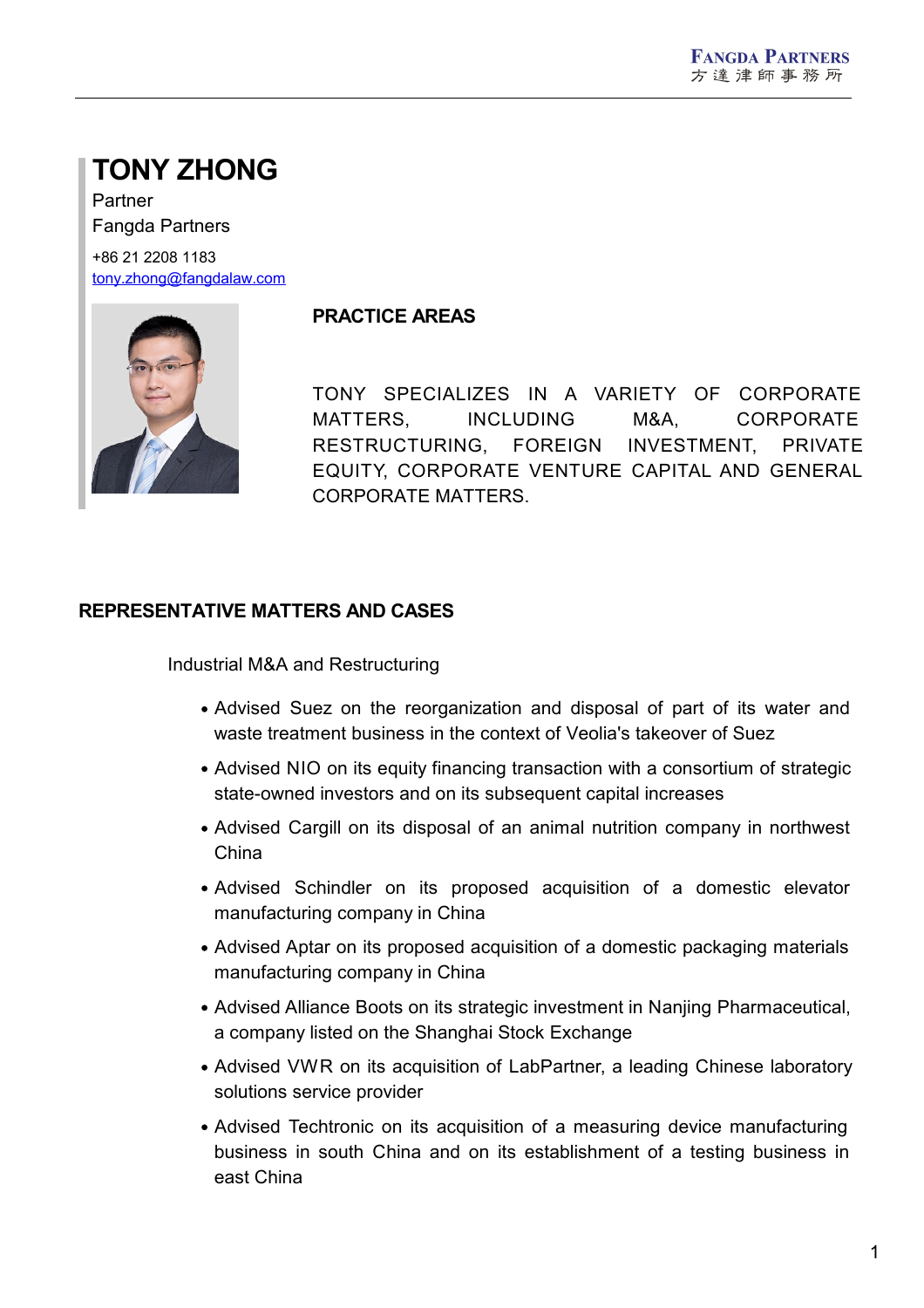# **TONY ZHONG**

Partner Fangda Partners

+86 21 2208 1183 [tony.zhong@fangdalaw.com](mailto:tony.zhong@fangdalaw.com)



## **PRACTICE AREAS**

TONY SPECIALIZES IN A VARIETY OF CORPORATE MATTERS, INCLUDING M&A, CORPORATE RESTRUCTURING, FOREIGN INVESTMENT, PRIVATE EQUITY, CORPORATE VENTURE CAPITAL AND GENERAL CORPORATE MATTERS.

## **REPRESENTATIVE MATTERS AND CASES**

Industrial M&A and Restructuring

- Advised Suez on the reorganization and disposal of part of its water and waste treatment business in the context of Veolia's takeover of Suez
- Advised NIO on its equity financing transaction with a consortium of strategic state-owned investors and on its subsequent capital increases
- Advised Cargill on its disposal of an animal nutrition company in northwest China
- Advised Schindler on its proposed acquisition of a domestic elevator manufacturing company in China
- Advised Aptar on its proposed acquisition of a domestic packaging materials manufacturing company in China
- Advised Alliance Boots on its strategic investment in Nanjing Pharmaceutical, a company listed on the Shanghai Stock Exchange
- Advised VWR on its acquisition of LabPartner, a leading Chinese laboratory solutions service provider
- Advised Techtronic on its acquisition of a measuring device manufacturing business in south China and on its establishment of a testing business in east China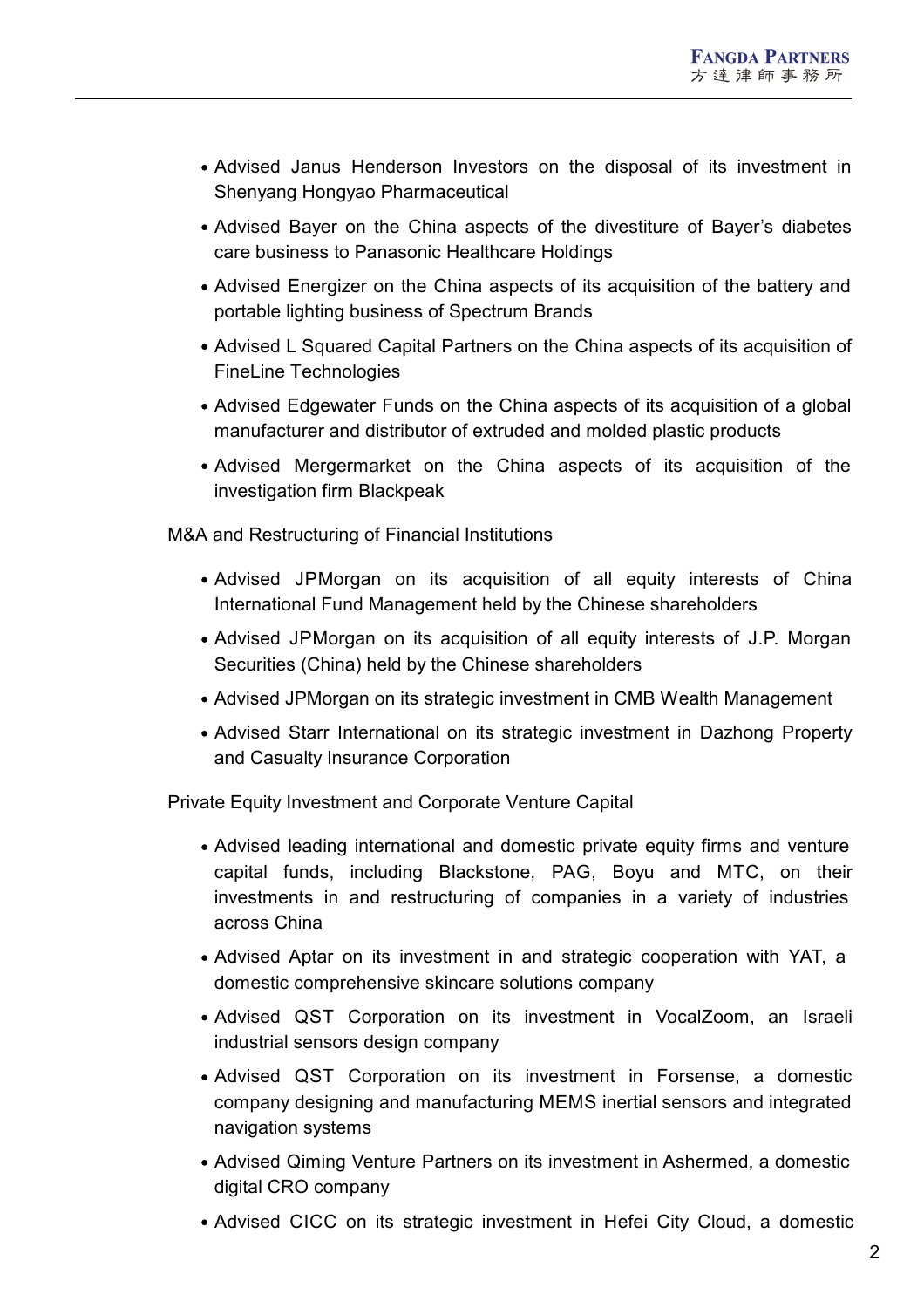- Advised Janus Henderson Investors on the disposal of its investment in Shenyang Hongyao Pharmaceutical
- Advised Bayer on the China aspects of the divestiture of Bayer's diabetes care business to Panasonic Healthcare Holdings
- Advised Energizer on the China aspects of its acquisition of the battery and portable lighting business of Spectrum Brands
- Advised L Squared Capital Partners on the China aspects of its acquisition of FineLine Technologies
- Advised Edgewater Funds on the China aspects of its acquisition of a global manufacturer and distributor of extruded and molded plastic products
- Advised Mergermarket on the China aspects of its acquisition of the investigation firm Blackpeak

M&A and Restructuring of Financial Institutions

- Advised JPMorgan on its acquisition of all equity interests of China International Fund Management held by the Chinese shareholders
- Advised JPMorgan on its acquisition of all equity interests of J.P. Morgan Securities (China) held by the Chinese shareholders
- Advised JPMorgan on its strategic investment in CMB Wealth Management
- Advised Starr International on its strategic investment in Dazhong Property and Casualty Insurance Corporation

Private Equity Investment and Corporate Venture Capital

- Advised leading international and domestic private equity firms and venture capital funds, including Blackstone, PAG, Boyu and MTC, on their investments in and restructuring of companies in a variety of industries across China
- Advised Aptar on its investment in and strategic cooperation with YAT, a domestic comprehensive skincare solutions company
- Advised QST Corporation on its investment in VocalZoom, an Israeli industrial sensors design company
- Advised QST Corporation on its investment in Forsense, a domestic company designing and manufacturing MEMS inertial sensors and integrated navigation systems
- Advised Qiming Venture Partners on its investment in Ashermed, a domestic digital CRO company
- Advised CICC on its strategic investment in Hefei City Cloud, a domestic